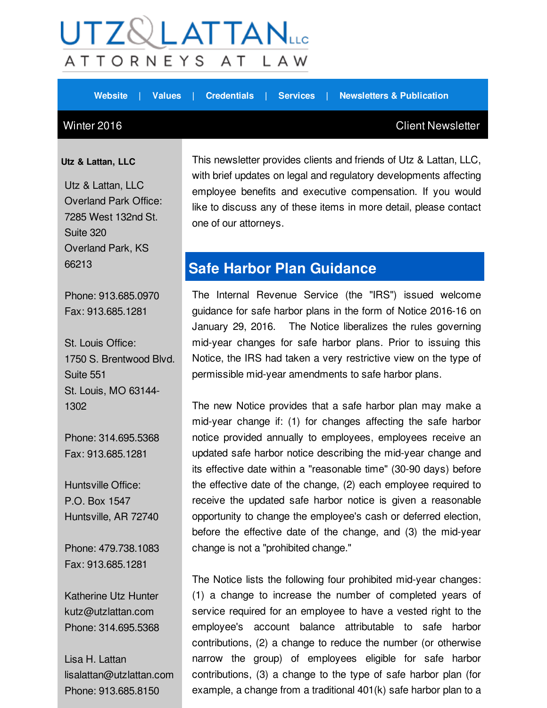## $\mathsf{UTZ}\mathbb{Q}\mathsf{LATTAN}_{\mathsf{uc}}$ ATTORNEYS AT L A W

**[Website](http://r20.rs6.net/tn.jsp?f=001y1ltD-1ldJDzDiVwNHG-Es5HooYJqU2RTJRjSvwn_LiyjeQXwVNZuER0vTIXlZg9aAQjpH3iyZjVEfCP-n6NUz8rF5_suk3oMfL9N6EG3NpsdE1Qv_Jh5W2tXezSc2zROcP-I47ePXVQWsurOT6jKN0jjzBGA6cGMxAWhVpwP6M=&c=&ch=) | [Values](http://r20.rs6.net/tn.jsp?f=001y1ltD-1ldJDzDiVwNHG-Es5HooYJqU2RTJRjSvwn_LiyjeQXwVNZuER0vTIXlZg9pEKjrDq4AIM6e6CqxzzIwhgnK0u8IM8lwGCw9tqc5KFbAoOK_Vexgq3XyI6RQJeFvXc5OKTZkh5qei2whlO417eZtxOeX50PwNYpxLq55iwjYleSnMU2NzlPaPD_gti3&c=&ch=) | [Credentials](http://r20.rs6.net/tn.jsp?f=001y1ltD-1ldJDzDiVwNHG-Es5HooYJqU2RTJRjSvwn_LiyjeQXwVNZuER0vTIXlZg9SukK9HALoGz-s3pgnd3T7eibEObtK-1Z97s1q-rCSgtspB57fW-tgTrlFP6dqAC6DPBPgDflJ102A5vlW9WGdhqwxoLTV9Ex27dxAwOgY0k-g3JrY0AMyUf9OgJE90Xs&c=&ch=) | [Services](http://r20.rs6.net/tn.jsp?f=001y1ltD-1ldJDzDiVwNHG-Es5HooYJqU2RTJRjSvwn_LiyjeQXwVNZuER0vTIXlZg93wNcijePI9ZT151VLdUuBEMwcjxfXwVM6LtLL7InpS8u3hPzEhPT_OqN3e8H62bCkZ3NaSh9S2LSWnHnISKqUXq--MyM2w_F6UfuYjmj2L5cI3nMlO8sAWafh_ydeGjF&c=&ch=) | [Newsletters](http://r20.rs6.net/tn.jsp?f=001y1ltD-1ldJDzDiVwNHG-Es5HooYJqU2RTJRjSvwn_LiyjeQXwVNZuER0vTIXlZg9JybirLmXMZZFoiH5bKgsMAHJlDtWPBpQ0MatFBuiK9TQShImC8JOTkJjCG-ZsynhIk7Qksay0FqjegKSH_qVVXKmgkJIs5kBQHuQ8HlhrZXbotF0Km4aWOGlAIdvO4QTCZOGBNsTgPvtbj4JYLVBtQ==&c=&ch=) & Publication**

#### Winter 2016 **Client Newsletter**

**Utz & Lattan, LLC**

Utz & Lattan, LLC Overland Park Office: 7285 West 132nd St. Suite 320 Overland Park, KS 66213

Phone: 913.685.0970 Fax: 913.685.1281

St. Louis Office: 1750 S. Brentwood Blvd. Suite 551 St. Louis, MO 63144- 1302

Phone: 314.695.5368 Fax: 913.685.1281

Huntsville Office: P.O. Box 1547 Huntsville, AR 72740

Phone: 479.738.1083 Fax: 913.685.1281

Katherine Utz Hunter kutz@utzlattan.com Phone: 314.695.5368

Lisa H. Lattan lisalattan@utzlattan.com Phone: 913.685.8150

This newsletter provides clients and friends of Utz & Lattan, LLC, with brief updates on legal and regulatory developments affecting employee benefits and executive compensation. If you would like to discuss any of these items in more detail, please contact one of our attorneys.

### **Safe Harbor Plan Guidance**

The Internal Revenue Service (the "IRS") issued welcome guidance for safe harbor plans in the form of Notice 2016-16 on January 29, 2016. The Notice liberalizes the rules governing mid-year changes for safe harbor plans. Prior to issuing this Notice, the IRS had taken a very restrictive view on the type of permissible mid-year amendments to safe harbor plans.

The new Notice provides that a safe harbor plan may make a mid-year change if: (1) for changes affecting the safe harbor notice provided annually to employees, employees receive an updated safe harbor notice describing the mid-year change and its effective date within a "reasonable time" (30-90 days) before the effective date of the change, (2) each employee required to receive the updated safe harbor notice is given a reasonable opportunity to change the employee's cash or deferred election, before the effective date of the change, and (3) the mid-year change is not a "prohibited change."

The Notice lists the following four prohibited mid-year changes: (1) a change to increase the number of completed years of service required for an employee to have a vested right to the employee's account balance attributable to safe harbor contributions, (2) a change to reduce the number (or otherwise narrow the group) of employees eligible for safe harbor contributions, (3) a change to the type of safe harbor plan (for example, a change from a traditional 401(k) safe harbor plan to a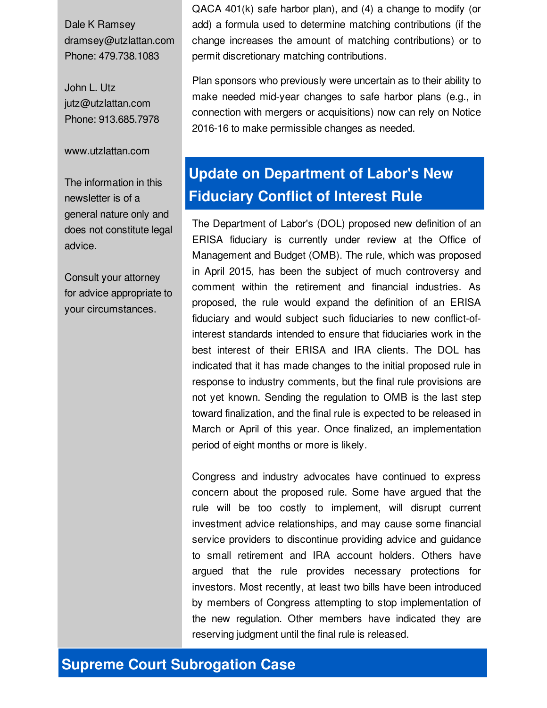Dale K Ramsey dramsey@utzlattan.com Phone: 479.738.1083

John L. Utz jutz@utzlattan.com Phone: 913.685.7978

www.utzlattan.com

The information in this newsletter is of a general nature only and does not constitute legal advice.

Consult your attorney for advice appropriate to your circumstances.

QACA 401(k) safe harbor plan), and (4) a change to modify (or add) a formula used to determine matching contributions (if the change increases the amount of matching contributions) or to permit discretionary matching contributions.

Plan sponsors who previously were uncertain as to their ability to make needed mid-year changes to safe harbor plans (e.g., in connection with mergers or acquisitions) now can rely on Notice 2016-16 to make permissible changes as needed.

# **Update on Department of Labor's New Fiduciary Conflict of Interest Rule**

The Department of Labor's (DOL) proposed new definition of an ERISA fiduciary is currently under review at the Office of Management and Budget (OMB). The rule, which was proposed in April 2015, has been the subject of much controversy and comment within the retirement and financial industries. As proposed, the rule would expand the definition of an ERISA fiduciary and would subject such fiduciaries to new conflict-ofinterest standards intended to ensure that fiduciaries work in the best interest of their ERISA and IRA clients. The DOL has indicated that it has made changes to the initial proposed rule in response to industry comments, but the final rule provisions are not yet known. Sending the regulation to OMB is the last step toward finalization, and the final rule is expected to be released in March or April of this year. Once finalized, an implementation period of eight months or more is likely.

Congress and industry advocates have continued to express concern about the proposed rule. Some have argued that the rule will be too costly to implement, will disrupt current investment advice relationships, and may cause some financial service providers to discontinue providing advice and guidance to small retirement and IRA account holders. Others have argued that the rule provides necessary protections for investors. Most recently, at least two bills have been introduced by members of Congress attempting to stop implementation of the new regulation. Other members have indicated they are reserving judgment until the final rule is released.

### **Supreme Court Subrogation Case**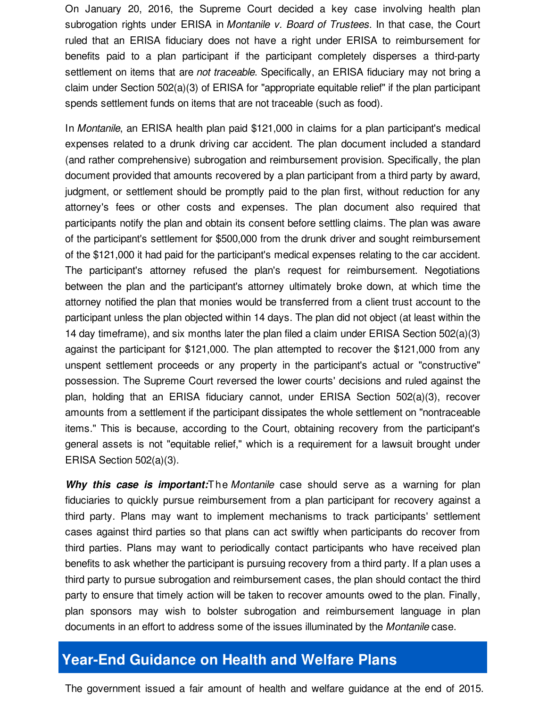On January 20, 2016, the Supreme Court decided a key case involving health plan subrogation rights under ERISA in *Montanile v. Board of Trustees*. In that case, the Court ruled that an ERISA fiduciary does not have a right under ERISA to reimbursement for benefits paid to a plan participant if the participant completely disperses a third-party settlement on items that are *not traceable*. Specifically, an ERISA fiduciary may not bring a claim under Section 502(a)(3) of ERISA for "appropriate equitable relief" if the plan participant spends settlement funds on items that are not traceable (such as food).

In *Montanile*, an ERISA health plan paid \$121,000 in claims for a plan participant's medical expenses related to a drunk driving car accident. The plan document included a standard (and rather comprehensive) subrogation and reimbursement provision. Specifically, the plan document provided that amounts recovered by a plan participant from a third party by award, judgment, or settlement should be promptly paid to the plan first, without reduction for any attorney's fees or other costs and expenses. The plan document also required that participants notify the plan and obtain its consent before settling claims. The plan was aware of the participant's settlement for \$500,000 from the drunk driver and sought reimbursement of the \$121,000 it had paid for the participant's medical expenses relating to the car accident. The participant's attorney refused the plan's request for reimbursement. Negotiations between the plan and the participant's attorney ultimately broke down, at which time the attorney notified the plan that monies would be transferred from a client trust account to the participant unless the plan objected within 14 days. The plan did not object (at least within the 14 day timeframe), and six months later the plan filed a claim under ERISA Section 502(a)(3) against the participant for \$121,000. The plan attempted to recover the \$121,000 from any unspent settlement proceeds or any property in the participant's actual or "constructive" possession. The Supreme Court reversed the lower courts' decisions and ruled against the plan, holding that an ERISA fiduciary cannot, under ERISA Section 502(a)(3), recover amounts from a settlement if the participant dissipates the whole settlement on "nontraceable items." This is because, according to the Court, obtaining recovery from the participant's general assets is not "equitable relief," which is a requirement for a lawsuit brought under ERISA Section 502(a)(3).

*Why this case is important:*The *Montanile* case should serve as a warning for plan fiduciaries to quickly pursue reimbursement from a plan participant for recovery against a third party. Plans may want to implement mechanisms to track participants' settlement cases against third parties so that plans can act swiftly when participants do recover from third parties. Plans may want to periodically contact participants who have received plan benefits to ask whether the participant is pursuing recovery from a third party. If a plan uses a third party to pursue subrogation and reimbursement cases, the plan should contact the third party to ensure that timely action will be taken to recover amounts owed to the plan. Finally, plan sponsors may wish to bolster subrogation and reimbursement language in plan documents in an effort to address some of the issues illuminated by the *Montanile* case.

#### **Year-End Guidance on Health and Welfare Plans**

The government issued a fair amount of health and welfare guidance at the end of 2015.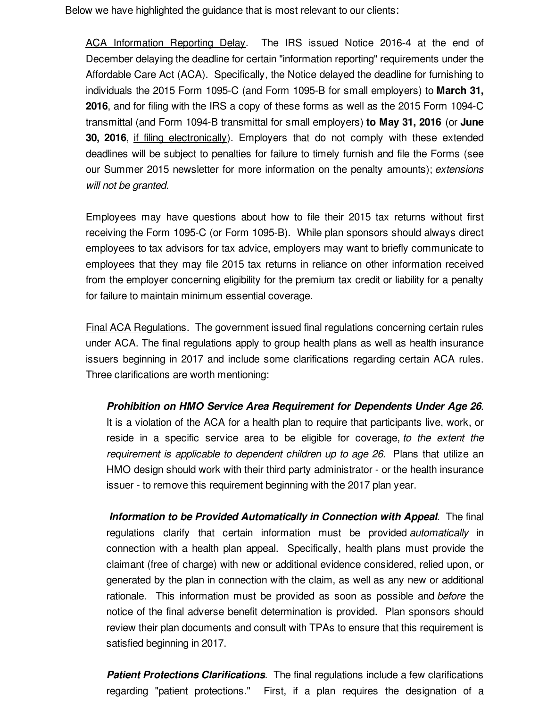Below we have highlighted the guidance that is most relevant to our clients:

ACA Information Reporting Delay. The IRS issued Notice 2016-4 at the end of December delaying the deadline for certain "information reporting" requirements under the Affordable Care Act (ACA). Specifically, the Notice delayed the deadline for furnishing to individuals the 2015 Form 1095-C (and Form 1095-B for small employers) to **March 31, 2016**, and for filing with the IRS a copy of these forms as well as the 2015 Form 1094-C transmittal (and Form 1094-B transmittal for small employers) **to May 31, 2016** (or **June 30, 2016**, if filing electronically). Employers that do not comply with these extended deadlines will be subject to penalties for failure to timely furnish and file the Forms (see our Summer 2015 newsletter for more information on the penalty amounts); *extensions will not be granted*.

Employees may have questions about how to file their 2015 tax returns without first receiving the Form 1095-C (or Form 1095-B). While plan sponsors should always direct employees to tax advisors for tax advice, employers may want to briefly communicate to employees that they may file 2015 tax returns in reliance on other information received from the employer concerning eligibility for the premium tax credit or liability for a penalty for failure to maintain minimum essential coverage.

Final ACA Regulations. The government issued final regulations concerning certain rules under ACA. The final regulations apply to group health plans as well as health insurance issuers beginning in 2017 and include some clarifications regarding certain ACA rules. Three clarifications are worth mentioning:

*Prohibition on HMO Service Area Requirement for Dependents Under Age 26*. It is a violation of the ACA for a health plan to require that participants live, work, or reside in a specific service area to be eligible for coverage, *to the extent the requirement is applicable to dependent children up to age 26.* Plans that utilize an HMO design should work with their third party administrator - or the health insurance issuer - to remove this requirement beginning with the 2017 plan year.

*Information to be Provided Automatically in Connection with Appeal*. The final regulations clarify that certain information must be provided *automatically* in connection with a health plan appeal. Specifically, health plans must provide the claimant (free of charge) with new or additional evidence considered, relied upon, or generated by the plan in connection with the claim, as well as any new or additional rationale. This information must be provided as soon as possible and *before* the notice of the final adverse benefit determination is provided. Plan sponsors should review their plan documents and consult with TPAs to ensure that this requirement is satisfied beginning in 2017.

*Patient Protections Clarifications*. The final regulations include a few clarifications regarding "patient protections." First, if a plan requires the designation of a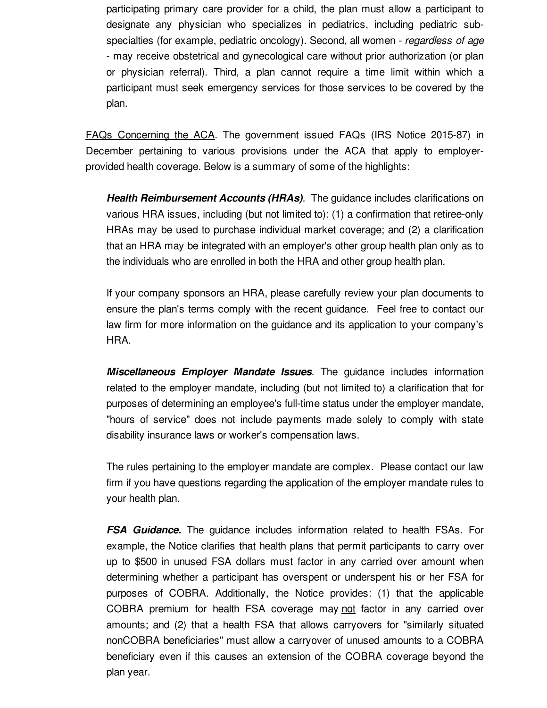participating primary care provider for a child, the plan must allow a participant to designate any physician who specializes in pediatrics, including pediatric subspecialties (for example, pediatric oncology). Second, all women - *regardless of age* - may receive obstetrical and gynecological care without prior authorization (or plan or physician referral). Third, a plan cannot require a time limit within which a participant must seek emergency services for those services to be covered by the plan.

FAQs Concerning the ACA. The government issued FAQs (IRS Notice 2015-87) in December pertaining to various provisions under the ACA that apply to employerprovided health coverage. Below is a summary of some of the highlights:

*Health Reimbursement Accounts (HRAs)*. The guidance includes clarifications on various HRA issues, including (but not limited to): (1) a confirmation that retiree-only HRAs may be used to purchase individual market coverage; and (2) a clarification that an HRA may be integrated with an employer's other group health plan only as to the individuals who are enrolled in both the HRA and other group health plan.

If your company sponsors an HRA, please carefully review your plan documents to ensure the plan's terms comply with the recent guidance. Feel free to contact our law firm for more information on the guidance and its application to your company's HRA.

*Miscellaneous Employer Mandate Issues*. The guidance includes information related to the employer mandate, including (but not limited to) a clarification that for purposes of determining an employee's full-time status under the employer mandate, "hours of service" does not include payments made solely to comply with state disability insurance laws or worker's compensation laws.

The rules pertaining to the employer mandate are complex. Please contact our law firm if you have questions regarding the application of the employer mandate rules to your health plan.

*FSA Guidance.* The guidance includes information related to health FSAs. For example, the Notice clarifies that health plans that permit participants to carry over up to \$500 in unused FSA dollars must factor in any carried over amount when determining whether a participant has overspent or underspent his or her FSA for purposes of COBRA. Additionally, the Notice provides: (1) that the applicable COBRA premium for health FSA coverage may not factor in any carried over amounts; and (2) that a health FSA that allows carryovers for "similarly situated nonCOBRA beneficiaries" must allow a carryover of unused amounts to a COBRA beneficiary even if this causes an extension of the COBRA coverage beyond the plan year.